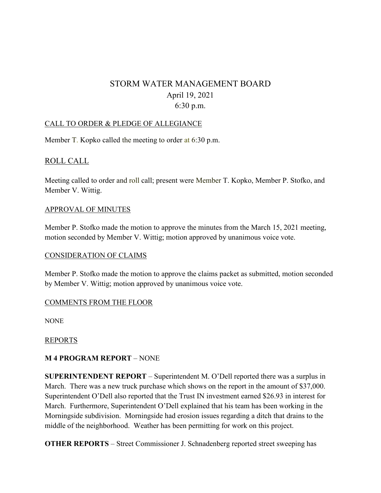# STORM WATER MANAGEMENT BOARD April 19, 2021 6:30 p.m.

## CALL TO ORDER & PLEDGE OF ALLEGIANCE

Member T. Kopko called the meeting to order at 6:30 p.m.

# ROLL CALL

Meeting called to order and roll call; present were Member T. Kopko, Member P. Stofko, and Member V. Wittig.

## APPROVAL OF MINUTES

Member P. Stofko made the motion to approve the minutes from the March 15, 2021 meeting, motion seconded by Member V. Wittig; motion approved by unanimous voice vote.

#### CONSIDERATION OF CLAIMS

Member P. Stofko made the motion to approve the claims packet as submitted, motion seconded by Member V. Wittig; motion approved by unanimous voice vote.

# COMMENTS FROM THE FLOOR

NONE

#### REPORTS

# **M 4 PROGRAM REPORT** – NONE

**SUPERINTENDENT REPORT** – Superintendent M. O'Dell reported there was a surplus in March. There was a new truck purchase which shows on the report in the amount of \$37,000. Superintendent O'Dell also reported that the Trust IN investment earned \$26.93 in interest for March. Furthermore, Superintendent O'Dell explained that his team has been working in the Morningside subdivision. Morningside had erosion issues regarding a ditch that drains to the middle of the neighborhood. Weather has been permitting for work on this project.

**OTHER REPORTS** – Street Commissioner J. Schnadenberg reported street sweeping has